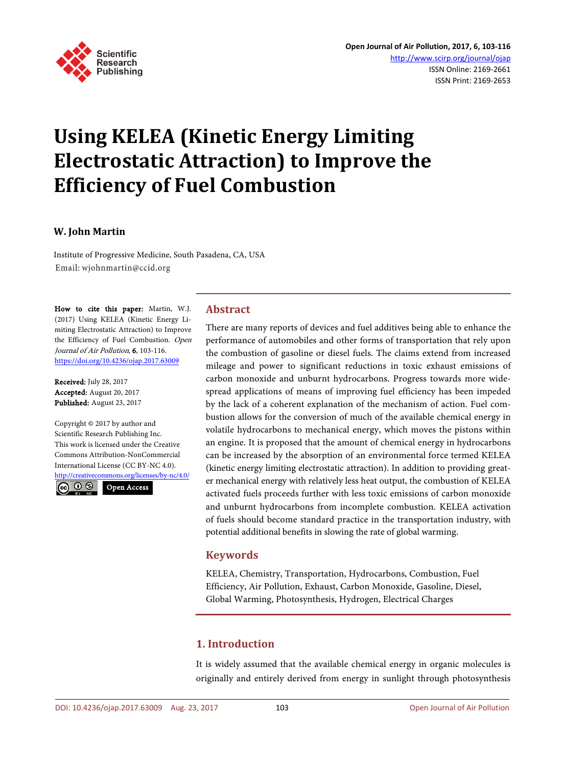

# **Using KELEA (Kinetic Energy Limiting Electrostatic Attraction) to Improve the Efficiency of Fuel Combustion**

#### **W. John Martin**

Institute of Progressive Medicine, South Pasadena, CA, USA Email: wjohnmartin@ccid.org

How to cite this paper: Martin, W.J. (2017) Using KELEA (Kinetic Energy Limiting Electrostatic Attraction) to Improve the Efficiency of Fuel Combustion. Open Journal of Air Pollution, 6, 103-116. <https://doi.org/10.4236/ojap.2017.63009>

Received: July 28, 2017 Accepted: August 20, 2017 Published: August 23, 2017

Copyright © 2017 by author and Scientific Research Publishing Inc. This work is licensed under the Creative Commons Attribution-NonCommercial International License (CC BY-NC 4.0). <http://creativecommons.org/licenses/by-nc/4.0/>

 $\odot$ Open Access

# **Abstract**

There are many reports of devices and fuel additives being able to enhance the performance of automobiles and other forms of transportation that rely upon the combustion of gasoline or diesel fuels. The claims extend from increased mileage and power to significant reductions in toxic exhaust emissions of carbon monoxide and unburnt hydrocarbons. Progress towards more widespread applications of means of improving fuel efficiency has been impeded by the lack of a coherent explanation of the mechanism of action. Fuel combustion allows for the conversion of much of the available chemical energy in volatile hydrocarbons to mechanical energy, which moves the pistons within an engine. It is proposed that the amount of chemical energy in hydrocarbons can be increased by the absorption of an environmental force termed KELEA (kinetic energy limiting electrostatic attraction). In addition to providing greater mechanical energy with relatively less heat output, the combustion of KELEA activated fuels proceeds further with less toxic emissions of carbon monoxide and unburnt hydrocarbons from incomplete combustion. KELEA activation of fuels should become standard practice in the transportation industry, with potential additional benefits in slowing the rate of global warming.

# **Keywords**

KELEA, Chemistry, Transportation, Hydrocarbons, Combustion, Fuel Efficiency, Air Pollution, Exhaust, Carbon Monoxide, Gasoline, Diesel, Global Warming, Photosynthesis, Hydrogen, Electrical Charges

# **1. Introduction**

It is widely assumed that the available chemical energy in organic molecules is originally and entirely derived from energy in sunlight through photosynthesis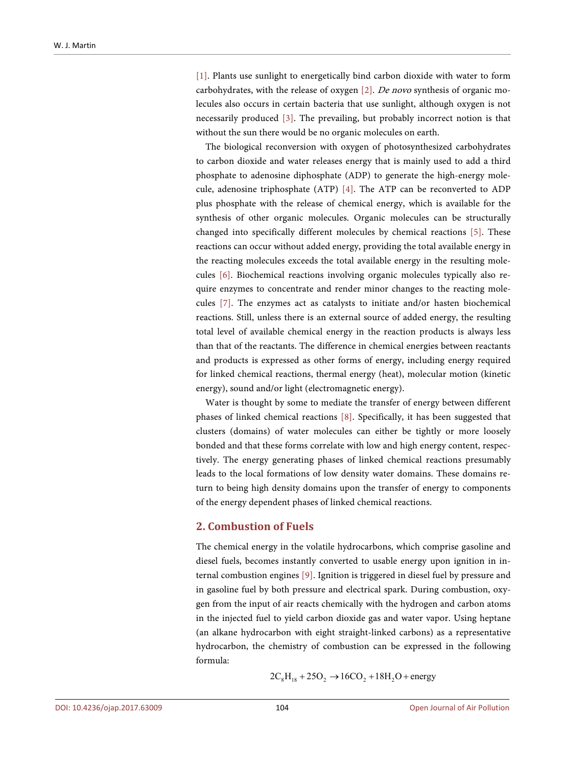[\[1\].](#page-11-0) Plants use sunlight to energetically bind carbon dioxide with water to form carbohydrates, with the release of oxygen  $[2]$ . De novo synthesis of organic molecules also occurs in certain bacteria that use sunlight, although oxygen is not necessarily produced [\[3\].](#page-11-2) The prevailing, but probably incorrect notion is that without the sun there would be no organic molecules on earth.

The biological reconversion with oxygen of photosynthesized carbohydrates to carbon dioxide and water releases energy that is mainly used to add a third phosphate to adenosine diphosphate (ADP) to generate the high-energy molecule, adenosine triphosphate (ATP) [\[4\].](#page-11-3) The ATP can be reconverted to ADP plus phosphate with the release of chemical energy, which is available for the synthesis of other organic molecules. Organic molecules can be structurally changed into specifically different molecules by chemical reactions [\[5\].](#page-11-4) These reactions can occur without added energy, providing the total available energy in the reacting molecules exceeds the total available energy in the resulting molecules [\[6\].](#page-11-5) Biochemical reactions involving organic molecules typically also require enzymes to concentrate and render minor changes to the reacting molecules [\[7\].](#page-11-6) The enzymes act as catalysts to initiate and/or hasten biochemical reactions. Still, unless there is an external source of added energy, the resulting total level of available chemical energy in the reaction products is always less than that of the reactants. The difference in chemical energies between reactants and products is expressed as other forms of energy, including energy required for linked chemical reactions, thermal energy (heat), molecular motion (kinetic energy), sound and/or light (electromagnetic energy).

Water is thought by some to mediate the transfer of energy between different phases of linked chemical reactions [\[8\].](#page-11-7) Specifically, it has been suggested that clusters (domains) of water molecules can either be tightly or more loosely bonded and that these forms correlate with low and high energy content, respectively. The energy generating phases of linked chemical reactions presumably leads to the local formations of low density water domains. These domains return to being high density domains upon the transfer of energy to components of the energy dependent phases of linked chemical reactions.

#### **2. Combustion of Fuels**

The chemical energy in the volatile hydrocarbons, which comprise gasoline and diesel fuels, becomes instantly converted to usable energy upon ignition in internal combustion engines [\[9\].](#page-11-8) Ignition is triggered in diesel fuel by pressure and in gasoline fuel by both pressure and electrical spark. During combustion, oxygen from the input of air reacts chemically with the hydrogen and carbon atoms in the injected fuel to yield carbon dioxide gas and water vapor. Using heptane (an alkane hydrocarbon with eight straight-linked carbons) as a representative hydrocarbon, the chemistry of combustion can be expressed in the following formula:

$$
2C_8H_{18} + 25O_2 \rightarrow 16CO_2 + 18H_2O + energy
$$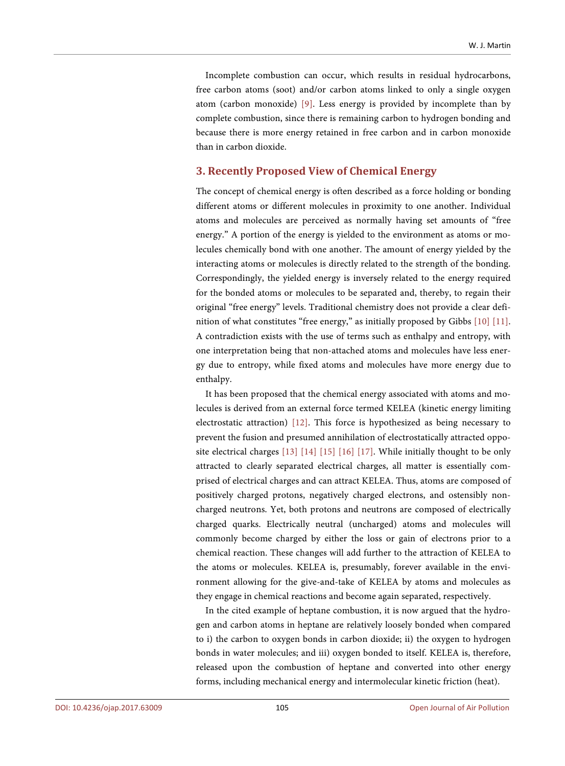Incomplete combustion can occur, which results in residual hydrocarbons, free carbon atoms (soot) and/or carbon atoms linked to only a single oxygen atom (carbon monoxide) [\[9\].](#page-11-8) Less energy is provided by incomplete than by complete combustion, since there is remaining carbon to hydrogen bonding and because there is more energy retained in free carbon and in carbon monoxide than in carbon dioxide.

# **3. Recently Proposed View of Chemical Energy**

The concept of chemical energy is often described as a force holding or bonding different atoms or different molecules in proximity to one another. Individual atoms and molecules are perceived as normally having set amounts of "free energy." A portion of the energy is yielded to the environment as atoms or molecules chemically bond with one another. The amount of energy yielded by the interacting atoms or molecules is directly related to the strength of the bonding. Correspondingly, the yielded energy is inversely related to the energy required for the bonded atoms or molecules to be separated and, thereby, to regain their original "free energy" levels. Traditional chemistry does not provide a clear definition of what constitutes "free energy," as initially proposed by Gibbs [\[10\]](#page-11-9) [\[11\].](#page-11-10)  A contradiction exists with the use of terms such as enthalpy and entropy, with one interpretation being that non-attached atoms and molecules have less energy due to entropy, while fixed atoms and molecules have more energy due to enthalpy.

It has been proposed that the chemical energy associated with atoms and molecules is derived from an external force termed KELEA (kinetic energy limiting electrostatic attraction) [\[12\].](#page-11-11) This force is hypothesized as being necessary to prevent the fusion and presumed annihilation of electrostatically attracted opposite electrical charges [\[13\]](#page-11-12) [\[14\]](#page-11-13) [\[15\]](#page-11-14) [\[16\]](#page-12-0) [\[17\].](#page-12-1) While initially thought to be only attracted to clearly separated electrical charges, all matter is essentially comprised of electrical charges and can attract KELEA. Thus, atoms are composed of positively charged protons, negatively charged electrons, and ostensibly noncharged neutrons. Yet, both protons and neutrons are composed of electrically charged quarks. Electrically neutral (uncharged) atoms and molecules will commonly become charged by either the loss or gain of electrons prior to a chemical reaction. These changes will add further to the attraction of KELEA to the atoms or molecules. KELEA is, presumably, forever available in the environment allowing for the give-and-take of KELEA by atoms and molecules as they engage in chemical reactions and become again separated, respectively.

In the cited example of heptane combustion, it is now argued that the hydrogen and carbon atoms in heptane are relatively loosely bonded when compared to i) the carbon to oxygen bonds in carbon dioxide; ii) the oxygen to hydrogen bonds in water molecules; and iii) oxygen bonded to itself. KELEA is, therefore, released upon the combustion of heptane and converted into other energy forms, including mechanical energy and intermolecular kinetic friction (heat).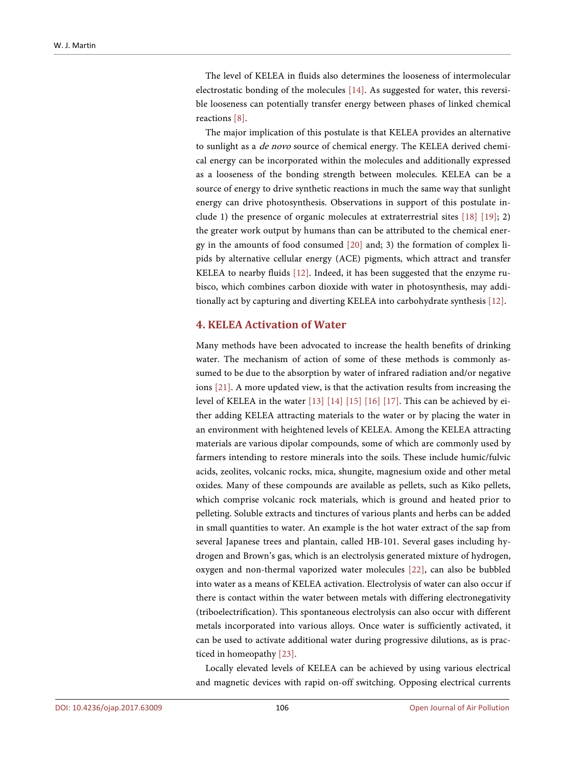The level of KELEA in fluids also determines the looseness of intermolecular electrostatic bonding of the molecules [\[14\].](#page-11-13) As suggested for water, this reversible looseness can potentially transfer energy between phases of linked chemical reactions [\[8\].](#page-11-7) 

The major implication of this postulate is that KELEA provides an alternative to sunlight as a de novo source of chemical energy. The KELEA derived chemical energy can be incorporated within the molecules and additionally expressed as a looseness of the bonding strength between molecules. KELEA can be a source of energy to drive synthetic reactions in much the same way that sunlight energy can drive photosynthesis. Observations in support of this postulate include 1) the presence of organic molecules at extraterrestrial sites  $[18]$   $[19]$ ; 2) the greater work output by humans than can be attributed to the chemical energy in the amounts of food consumed [\[20\]](#page-12-4) and; 3) the formation of complex lipids by alternative cellular energy (ACE) pigments, which attract and transfer KELEA to nearby fluids [\[12\].](#page-11-11) Indeed, it has been suggested that the enzyme rubisco, which combines carbon dioxide with water in photosynthesis, may additionally act by capturing and diverting KELEA into carbohydrate synthesis [\[12\].](#page-11-11)

# **4. KELEA Activation of Water**

Many methods have been advocated to increase the health benefits of drinking water. The mechanism of action of some of these methods is commonly assumed to be due to the absorption by water of infrared radiation and/or negative ions [\[21\].](#page-12-5) A more updated view, is that the activation results from increasing the level of KELEA in the water [\[13\]](#page-11-12) [\[14\]](#page-11-13) [\[15\]](#page-11-14) [\[16\]](#page-12-0) [\[17\].](#page-12-1) This can be achieved by either adding KELEA attracting materials to the water or by placing the water in an environment with heightened levels of KELEA. Among the KELEA attracting materials are various dipolar compounds, some of which are commonly used by farmers intending to restore minerals into the soils. These include humic/fulvic acids, zeolites, volcanic rocks, mica, shungite, magnesium oxide and other metal oxides. Many of these compounds are available as pellets, such as Kiko pellets, which comprise volcanic rock materials, which is ground and heated prior to pelleting. Soluble extracts and tinctures of various plants and herbs can be added in small quantities to water. An example is the hot water extract of the sap from several Japanese trees and plantain, called HB-101. Several gases including hydrogen and Brown's gas, which is an electrolysis generated mixture of hydrogen, oxygen and non-thermal vaporized water molecules [\[22\],](#page-12-6) can also be bubbled into water as a means of KELEA activation. Electrolysis of water can also occur if there is contact within the water between metals with differing electronegativity (triboelectrification). This spontaneous electrolysis can also occur with different metals incorporated into various alloys. Once water is sufficiently activated, it can be used to activate additional water during progressive dilutions, as is practiced in homeopath[y \[23\].](#page-12-7)

Locally elevated levels of KELEA can be achieved by using various electrical and magnetic devices with rapid on-off switching. Opposing electrical currents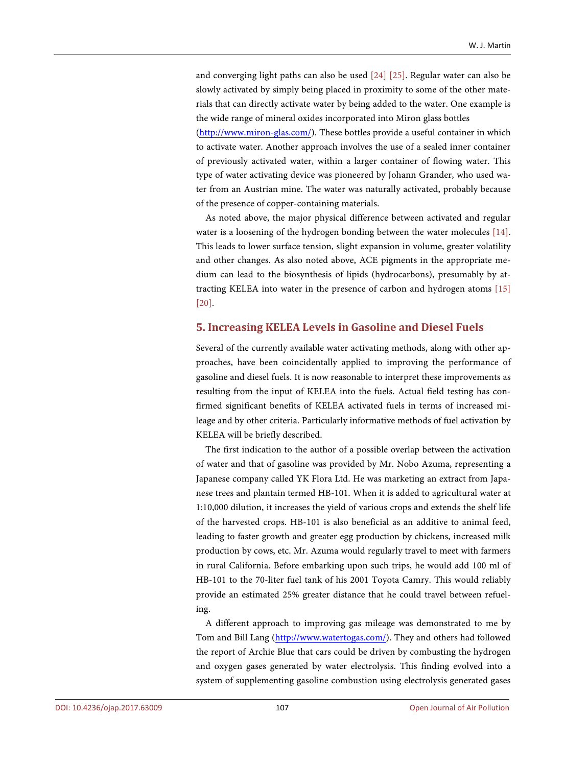and converging light paths can also be used [\[24\]](#page-12-8) [\[25\].](#page-12-9) Regular water can also be slowly activated by simply being placed in proximity to some of the other materials that can directly activate water by being added to the water. One example is the wide range of mineral oxides incorporated into Miron glass bottles

[\(http://www.miron-glas.com/\)](http://www.miron-glas.com/). These bottles provide a useful container in which to activate water. Another approach involves the use of a sealed inner container of previously activated water, within a larger container of flowing water. This type of water activating device was pioneered by Johann Grander, who used water from an Austrian mine. The water was naturally activated, probably because of the presence of copper-containing materials.

As noted above, the major physical difference between activated and regular water is a loosening of the hydrogen bonding between the water molecules [\[14\].](#page-11-13)  This leads to lower surface tension, slight expansion in volume, greater volatility and other changes. As also noted above, ACE pigments in the appropriate medium can lead to the biosynthesis of lipids (hydrocarbons), presumably by attracting KELEA into water in the presence of carbon and hydrogen atoms [\[15\]](#page-11-14) [\[20\].](#page-12-4)

#### **5. Increasing KELEA Levels in Gasoline and Diesel Fuels**

Several of the currently available water activating methods, along with other approaches, have been coincidentally applied to improving the performance of gasoline and diesel fuels. It is now reasonable to interpret these improvements as resulting from the input of KELEA into the fuels. Actual field testing has confirmed significant benefits of KELEA activated fuels in terms of increased mileage and by other criteria. Particularly informative methods of fuel activation by KELEA will be briefly described.

The first indication to the author of a possible overlap between the activation of water and that of gasoline was provided by Mr. Nobo Azuma, representing a Japanese company called YK Flora Ltd. He was marketing an extract from Japanese trees and plantain termed HB-101. When it is added to agricultural water at 1:10,000 dilution, it increases the yield of various crops and extends the shelf life of the harvested crops. HB-101 is also beneficial as an additive to animal feed, leading to faster growth and greater egg production by chickens, increased milk production by cows, etc. Mr. Azuma would regularly travel to meet with farmers in rural California. Before embarking upon such trips, he would add 100 ml of HB-101 to the 70-liter fuel tank of his 2001 Toyota Camry. This would reliably provide an estimated 25% greater distance that he could travel between refueling.

A different approach to improving gas mileage was demonstrated to me by Tom and Bill Lang [\(http://www.watertogas.com/\)](http://www.watertogas.com/). They and others had followed the report of Archie Blue that cars could be driven by combusting the hydrogen and oxygen gases generated by water electrolysis. This finding evolved into a system of supplementing gasoline combustion using electrolysis generated gases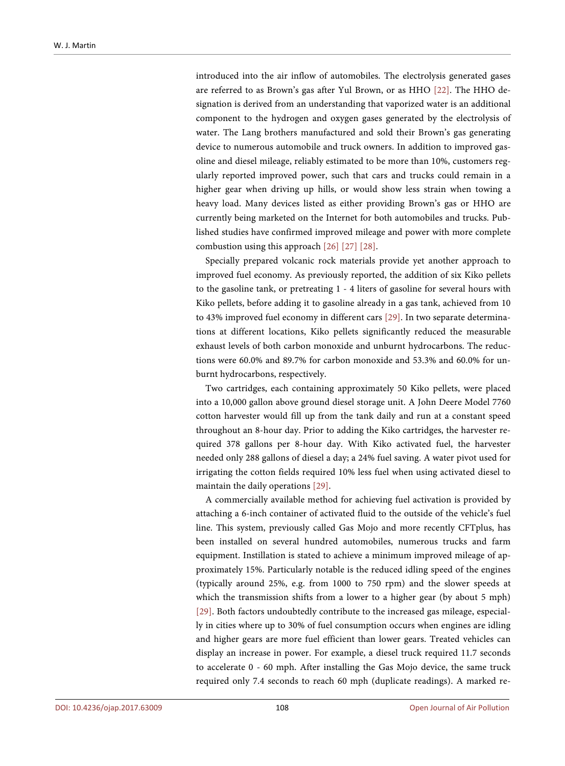introduced into the air inflow of automobiles. The electrolysis generated gases are referred to as Brown's gas after Yul Brown, or as HHO [\[22\].](#page-12-6) The HHO designation is derived from an understanding that vaporized water is an additional component to the hydrogen and oxygen gases generated by the electrolysis of water. The Lang brothers manufactured and sold their Brown's gas generating device to numerous automobile and truck owners. In addition to improved gasoline and diesel mileage, reliably estimated to be more than 10%, customers regularly reported improved power, such that cars and trucks could remain in a higher gear when driving up hills, or would show less strain when towing a heavy load. Many devices listed as either providing Brown's gas or HHO are currently being marketed on the Internet for both automobiles and trucks. Published studies have confirmed improved mileage and power with more complete combustion using this approach [\[26\]](#page-12-10) [\[27\]](#page-12-11) [\[28\].](#page-12-12)

Specially prepared volcanic rock materials provide yet another approach to improved fuel economy. As previously reported, the addition of six Kiko pellets to the gasoline tank, or pretreating 1 - 4 liters of gasoline for several hours with Kiko pellets, before adding it to gasoline already in a gas tank, achieved from 10 to 43% improved fuel economy in different cars [\[29\].](#page-12-13) In two separate determinations at different locations, Kiko pellets significantly reduced the measurable exhaust levels of both carbon monoxide and unburnt hydrocarbons. The reductions were 60.0% and 89.7% for carbon monoxide and 53.3% and 60.0% for unburnt hydrocarbons, respectively.

Two cartridges, each containing approximately 50 Kiko pellets, were placed into a 10,000 gallon above ground diesel storage unit. A John Deere Model 7760 cotton harvester would fill up from the tank daily and run at a constant speed throughout an 8-hour day. Prior to adding the Kiko cartridges, the harvester required 378 gallons per 8-hour day. With Kiko activated fuel, the harvester needed only 288 gallons of diesel a day; a 24% fuel saving. A water pivot used for irrigating the cotton fields required 10% less fuel when using activated diesel to maintain the daily operations [\[29\].](#page-12-13) 

A commercially available method for achieving fuel activation is provided by attaching a 6-inch container of activated fluid to the outside of the vehicle's fuel line. This system, previously called Gas Mojo and more recently CFTplus, has been installed on several hundred automobiles, numerous trucks and farm equipment. Instillation is stated to achieve a minimum improved mileage of approximately 15%. Particularly notable is the reduced idling speed of the engines (typically around 25%, e.g. from 1000 to 750 rpm) and the slower speeds at which the transmission shifts from a lower to a higher gear (by about 5 mph) [\[29\].](#page-12-13) Both factors undoubtedly contribute to the increased gas mileage, especially in cities where up to 30% of fuel consumption occurs when engines are idling and higher gears are more fuel efficient than lower gears. Treated vehicles can display an increase in power. For example, a diesel truck required 11.7 seconds to accelerate 0 - 60 mph. After installing the Gas Mojo device, the same truck required only 7.4 seconds to reach 60 mph (duplicate readings). A marked re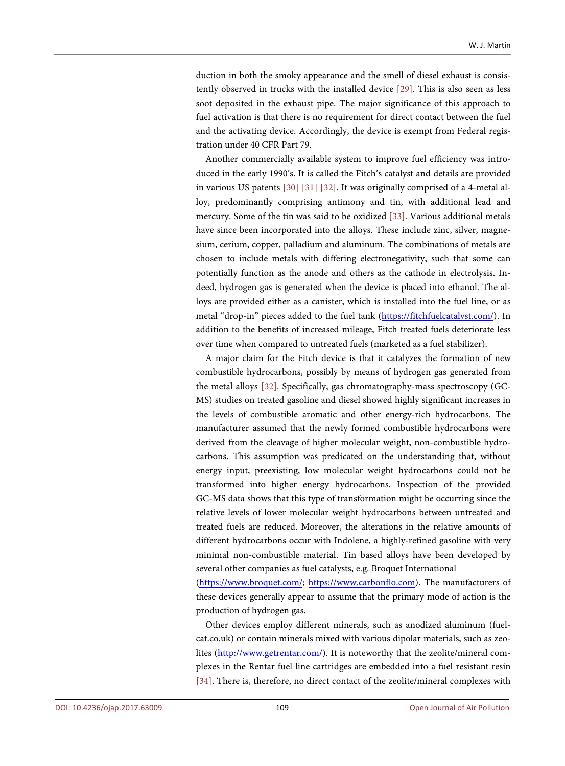duction in both the smoky appearance and the smell of diesel exhaust is consistently observed in trucks with the installed device [\[29\].](#page-12-13) This is also seen as less soot deposited in the exhaust pipe. The major significance of this approach to fuel activation is that there is no requirement for direct contact between the fuel and the activating device. Accordingly, the device is exempt from Federal registration under 40 CFR Part 79.

Another commercially available system to improve fuel efficiency was introduced in the early 1990's. It is called the Fitch's catalyst and details are provided in various US patents [\[30\]](#page-12-14) [\[31\]](#page-12-15) [\[32\].](#page-13-0) It was originally comprised of a 4-metal alloy, predominantly comprising antimony and tin, with additional lead and mercury. Some of the tin was said to be oxidized [\[33\].](#page-13-1) Various additional metals have since been incorporated into the alloys. These include zinc, silver, magnesium, cerium, copper, palladium and aluminum. The combinations of metals are chosen to include metals with differing electronegativity, such that some can potentially function as the anode and others as the cathode in electrolysis. Indeed, hydrogen gas is generated when the device is placed into ethanol. The alloys are provided either as a canister, which is installed into the fuel line, or as metal "drop-in" pieces added to the fuel tank [\(https://fitchfuelcatalyst.com/\)](https://fitchfuelcatalyst.com/). In addition to the benefits of increased mileage, Fitch treated fuels deteriorate less over time when compared to untreated fuels (marketed as a fuel stabilizer).

A major claim for the Fitch device is that it catalyzes the formation of new combustible hydrocarbons, possibly by means of hydrogen gas generated from the metal alloys [\[32\].](#page-13-0) Specifically, gas chromatography-mass spectroscopy (GC-MS) studies on treated gasoline and diesel showed highly significant increases in the levels of combustible aromatic and other energy-rich hydrocarbons. The manufacturer assumed that the newly formed combustible hydrocarbons were derived from the cleavage of higher molecular weight, non-combustible hydrocarbons. This assumption was predicated on the understanding that, without energy input, preexisting, low molecular weight hydrocarbons could not be transformed into higher energy hydrocarbons. Inspection of the provided GC-MS data shows that this type of transformation might be occurring since the relative levels of lower molecular weight hydrocarbons between untreated and treated fuels are reduced. Moreover, the alterations in the relative amounts of different hydrocarbons occur with Indolene, a highly-refined gasoline with very minimal non-combustible material. Tin based alloys have been developed by several other companies as fuel catalysts, e.g. Broquet International

[\(https://www.broquet.com/;](https://www.broquet.com/) [https://www.carbonflo.com\)](https://www.carbonflo.com/). The manufacturers of these devices generally appear to assume that the primary mode of action is the production of hydrogen gas.

Other devices employ different minerals, such as anodized aluminum (fuelcat.co.uk) or contain minerals mixed with various dipolar materials, such as zeolites [\(http://www.getrentar.com/\)](http://www.getrentar.com/). It is noteworthy that the zeolite/mineral complexes in the Rentar fuel line cartridges are embedded into a fuel resistant resin [\[34\].](#page-13-2) There is, therefore, no direct contact of the zeolite/mineral complexes with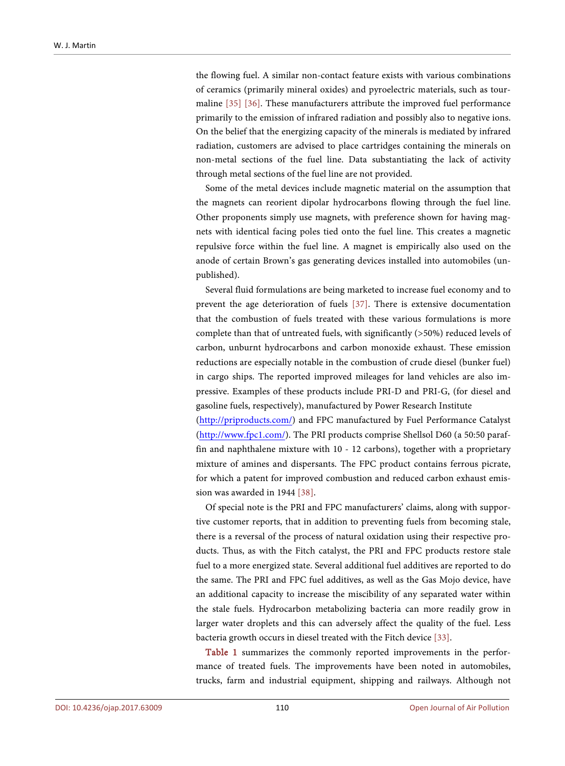the flowing fuel. A similar non-contact feature exists with various combinations of ceramics (primarily mineral oxides) and pyroelectric materials, such as tourmaline [\[35\]](#page-13-3) [\[36\].](#page-13-4) These manufacturers attribute the improved fuel performance primarily to the emission of infrared radiation and possibly also to negative ions. On the belief that the energizing capacity of the minerals is mediated by infrared radiation, customers are advised to place cartridges containing the minerals on non-metal sections of the fuel line. Data substantiating the lack of activity through metal sections of the fuel line are not provided.

Some of the metal devices include magnetic material on the assumption that the magnets can reorient dipolar hydrocarbons flowing through the fuel line. Other proponents simply use magnets, with preference shown for having magnets with identical facing poles tied onto the fuel line. This creates a magnetic repulsive force within the fuel line. A magnet is empirically also used on the anode of certain Brown's gas generating devices installed into automobiles (unpublished).

Several fluid formulations are being marketed to increase fuel economy and to prevent the age deterioration of fuels [\[37\].](#page-13-5) There is extensive documentation that the combustion of fuels treated with these various formulations is more complete than that of untreated fuels, with significantly (>50%) reduced levels of carbon, unburnt hydrocarbons and carbon monoxide exhaust. These emission reductions are especially notable in the combustion of crude diesel (bunker fuel) in cargo ships. The reported improved mileages for land vehicles are also impressive. Examples of these products include PRI-D and PRI-G, (for diesel and gasoline fuels, respectively), manufactured by Power Research Institute

[\(http://priproducts.com/\)](http://priproducts.com/) and FPC manufactured by Fuel Performance Catalyst [\(http://www.fpc1.com/\)](http://www.fpc1.com/). The PRI products comprise Shellsol D60 (a 50:50 paraffin and naphthalene mixture with 10 - 12 carbons), together with a proprietary mixture of amines and dispersants. The FPC product contains ferrous picrate, for which a patent for improved combustion and reduced carbon exhaust emission was awarded in 1944 [\[38\].](#page-13-6)

Of special note is the PRI and FPC manufacturers' claims, along with supportive customer reports, that in addition to preventing fuels from becoming stale, there is a reversal of the process of natural oxidation using their respective products. Thus, as with the Fitch catalyst, the PRI and FPC products restore stale fuel to a more energized state. Several additional fuel additives are reported to do the same. The PRI and FPC fuel additives, as well as the Gas Mojo device, have an additional capacity to increase the miscibility of any separated water within the stale fuels. Hydrocarbon metabolizing bacteria can more readily grow in larger water droplets and this can adversely affect the quality of the fuel. Less bacteria growth occurs in diesel treated with the Fitch devic[e \[33\].](#page-13-1) 

[Table 1](#page-8-0) summarizes the commonly reported improvements in the performance of treated fuels. The improvements have been noted in automobiles, trucks, farm and industrial equipment, shipping and railways. Although not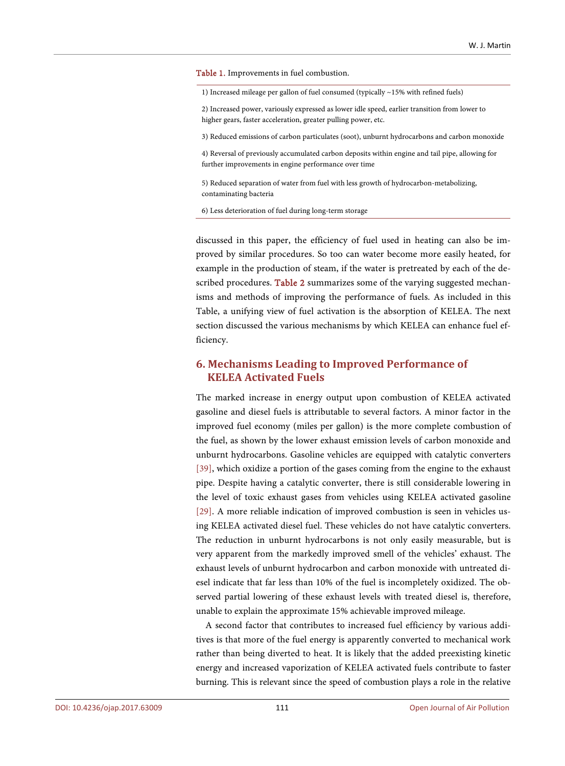<span id="page-8-0"></span>Table 1. Improvements in fuel combustion.

1) Increased mileage per gallon of fuel consumed (typically ~15% with refined fuels)

2) Increased power, variously expressed as lower idle speed, earlier transition from lower to higher gears, faster acceleration, greater pulling power, etc.

3) Reduced emissions of carbon particulates (soot), unburnt hydrocarbons and carbon monoxide

4) Reversal of previously accumulated carbon deposits within engine and tail pipe, allowing for further improvements in engine performance over time

5) Reduced separation of water from fuel with less growth of hydrocarbon-metabolizing, contaminating bacteria

6) Less deterioration of fuel during long-term storage

discussed in this paper, the efficiency of fuel used in heating can also be improved by similar procedures. So too can water become more easily heated, for example in the production of steam, if the water is pretreated by each of the de-scribed procedures. [Table 2](#page-9-0) summarizes some of the varying suggested mechanisms and methods of improving the performance of fuels. As included in this Table, a unifying view of fuel activation is the absorption of KELEA. The next section discussed the various mechanisms by which KELEA can enhance fuel efficiency.

# **6. Mechanisms Leading to Improved Performance of KELEA Activated Fuels**

The marked increase in energy output upon combustion of KELEA activated gasoline and diesel fuels is attributable to several factors. A minor factor in the improved fuel economy (miles per gallon) is the more complete combustion of the fuel, as shown by the lower exhaust emission levels of carbon monoxide and unburnt hydrocarbons. Gasoline vehicles are equipped with catalytic converters [\[39\],](#page-13-7) which oxidize a portion of the gases coming from the engine to the exhaust pipe. Despite having a catalytic converter, there is still considerable lowering in the level of toxic exhaust gases from vehicles using KELEA activated gasoline [\[29\].](#page-12-13) A more reliable indication of improved combustion is seen in vehicles using KELEA activated diesel fuel. These vehicles do not have catalytic converters. The reduction in unburnt hydrocarbons is not only easily measurable, but is very apparent from the markedly improved smell of the vehicles' exhaust. The exhaust levels of unburnt hydrocarbon and carbon monoxide with untreated diesel indicate that far less than 10% of the fuel is incompletely oxidized. The observed partial lowering of these exhaust levels with treated diesel is, therefore, unable to explain the approximate 15% achievable improved mileage.

A second factor that contributes to increased fuel efficiency by various additives is that more of the fuel energy is apparently converted to mechanical work rather than being diverted to heat. It is likely that the added preexisting kinetic energy and increased vaporization of KELEA activated fuels contribute to faster burning. This is relevant since the speed of combustion plays a role in the relative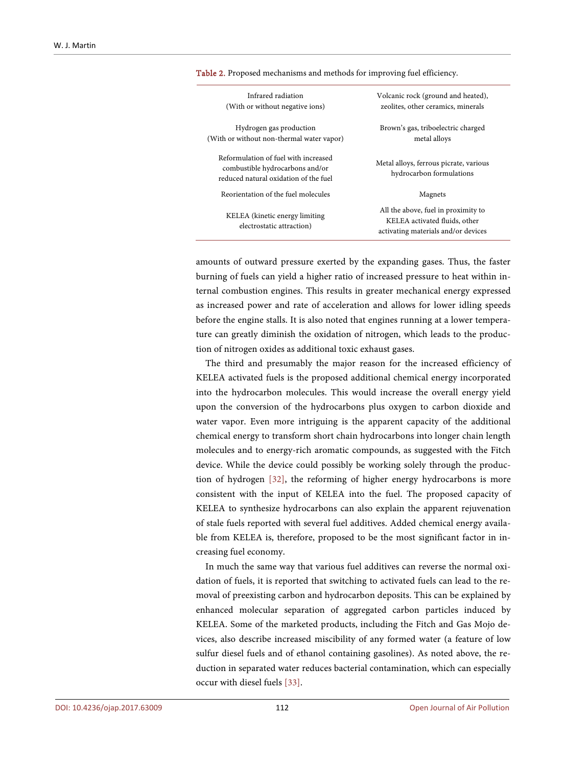| Infrared radiation<br>(With or without negative ions)                                                            | Volcanic rock (ground and heated),<br>zeolites, other ceramics, minerals                                    |
|------------------------------------------------------------------------------------------------------------------|-------------------------------------------------------------------------------------------------------------|
| Hydrogen gas production<br>(With or without non-thermal water vapor)                                             | Brown's gas, triboelectric charged<br>metal alloys                                                          |
| Reformulation of fuel with increased<br>combustible hydrocarbons and/or<br>reduced natural oxidation of the fuel | Metal alloys, ferrous picrate, various<br>hydrocarbon formulations                                          |
| Reorientation of the fuel molecules                                                                              | Magnets                                                                                                     |
| KELEA (kinetic energy limiting)<br>electrostatic attraction)                                                     | All the above, fuel in proximity to<br>KELEA activated fluids, other<br>activating materials and/or devices |
|                                                                                                                  |                                                                                                             |

<span id="page-9-0"></span>Table 2. Proposed mechanisms and methods for improving fuel efficiency.

amounts of outward pressure exerted by the expanding gases. Thus, the faster burning of fuels can yield a higher ratio of increased pressure to heat within internal combustion engines. This results in greater mechanical energy expressed as increased power and rate of acceleration and allows for lower idling speeds before the engine stalls. It is also noted that engines running at a lower temperature can greatly diminish the oxidation of nitrogen, which leads to the production of nitrogen oxides as additional toxic exhaust gases.

The third and presumably the major reason for the increased efficiency of KELEA activated fuels is the proposed additional chemical energy incorporated into the hydrocarbon molecules. This would increase the overall energy yield upon the conversion of the hydrocarbons plus oxygen to carbon dioxide and water vapor. Even more intriguing is the apparent capacity of the additional chemical energy to transform short chain hydrocarbons into longer chain length molecules and to energy-rich aromatic compounds, as suggested with the Fitch device. While the device could possibly be working solely through the production of hydrogen [\[32\],](#page-13-0) the reforming of higher energy hydrocarbons is more consistent with the input of KELEA into the fuel. The proposed capacity of KELEA to synthesize hydrocarbons can also explain the apparent rejuvenation of stale fuels reported with several fuel additives. Added chemical energy available from KELEA is, therefore, proposed to be the most significant factor in increasing fuel economy.

In much the same way that various fuel additives can reverse the normal oxidation of fuels, it is reported that switching to activated fuels can lead to the removal of preexisting carbon and hydrocarbon deposits. This can be explained by enhanced molecular separation of aggregated carbon particles induced by KELEA. Some of the marketed products, including the Fitch and Gas Mojo devices, also describe increased miscibility of any formed water (a feature of low sulfur diesel fuels and of ethanol containing gasolines). As noted above, the reduction in separated water reduces bacterial contamination, which can especially occur with diesel fuels [\[33\].](#page-13-1)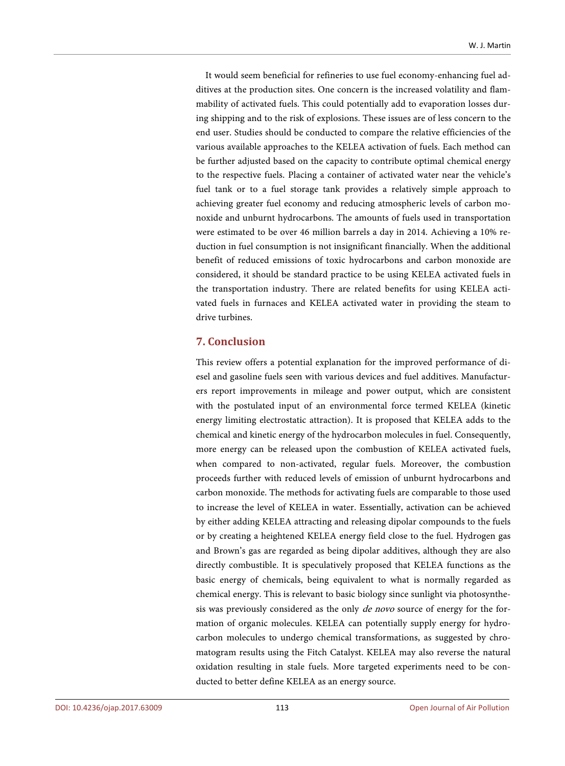It would seem beneficial for refineries to use fuel economy-enhancing fuel additives at the production sites. One concern is the increased volatility and flammability of activated fuels. This could potentially add to evaporation losses during shipping and to the risk of explosions. These issues are of less concern to the end user. Studies should be conducted to compare the relative efficiencies of the various available approaches to the KELEA activation of fuels. Each method can be further adjusted based on the capacity to contribute optimal chemical energy to the respective fuels. Placing a container of activated water near the vehicle's fuel tank or to a fuel storage tank provides a relatively simple approach to achieving greater fuel economy and reducing atmospheric levels of carbon monoxide and unburnt hydrocarbons. The amounts of fuels used in transportation were estimated to be over 46 million barrels a day in 2014. Achieving a 10% reduction in fuel consumption is not insignificant financially. When the additional benefit of reduced emissions of toxic hydrocarbons and carbon monoxide are considered, it should be standard practice to be using KELEA activated fuels in the transportation industry. There are related benefits for using KELEA activated fuels in furnaces and KELEA activated water in providing the steam to drive turbines.

# **7. Conclusion**

This review offers a potential explanation for the improved performance of diesel and gasoline fuels seen with various devices and fuel additives. Manufacturers report improvements in mileage and power output, which are consistent with the postulated input of an environmental force termed KELEA (kinetic energy limiting electrostatic attraction). It is proposed that KELEA adds to the chemical and kinetic energy of the hydrocarbon molecules in fuel. Consequently, more energy can be released upon the combustion of KELEA activated fuels, when compared to non-activated, regular fuels. Moreover, the combustion proceeds further with reduced levels of emission of unburnt hydrocarbons and carbon monoxide. The methods for activating fuels are comparable to those used to increase the level of KELEA in water. Essentially, activation can be achieved by either adding KELEA attracting and releasing dipolar compounds to the fuels or by creating a heightened KELEA energy field close to the fuel. Hydrogen gas and Brown's gas are regarded as being dipolar additives, although they are also directly combustible. It is speculatively proposed that KELEA functions as the basic energy of chemicals, being equivalent to what is normally regarded as chemical energy. This is relevant to basic biology since sunlight via photosynthesis was previously considered as the only *de novo* source of energy for the formation of organic molecules. KELEA can potentially supply energy for hydrocarbon molecules to undergo chemical transformations, as suggested by chromatogram results using the Fitch Catalyst. KELEA may also reverse the natural oxidation resulting in stale fuels. More targeted experiments need to be conducted to better define KELEA as an energy source.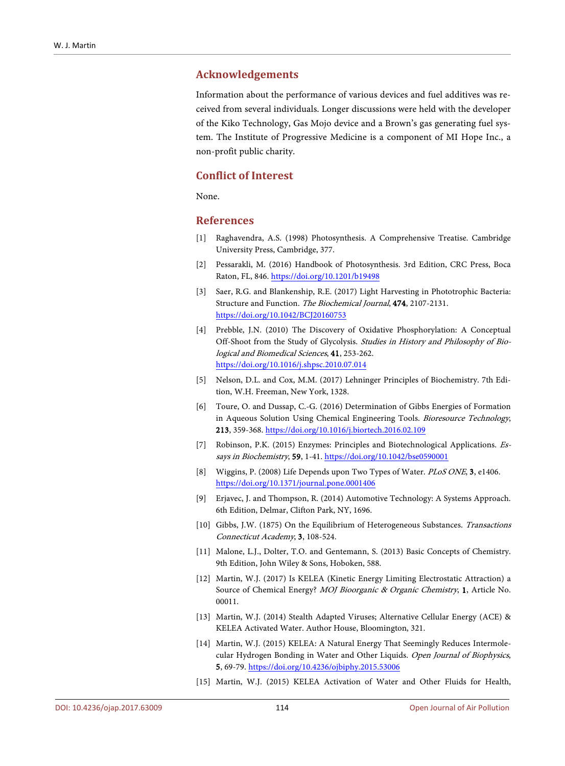#### **Acknowledgements**

Information about the performance of various devices and fuel additives was received from several individuals. Longer discussions were held with the developer of the Kiko Technology, Gas Mojo device and a Brown's gas generating fuel system. The Institute of Progressive Medicine is a component of MI Hope Inc., a non-profit public charity.

# **Conflict of Interest**

None.

#### **References**

- <span id="page-11-0"></span>[1] Raghavendra, A.S. (1998) Photosynthesis. A Comprehensive Treatise. Cambridge University Press, Cambridge, 377.
- <span id="page-11-1"></span>[2] Pessarakli, M. (2016) Handbook of Photosynthesis. 3rd Edition, CRC Press, Boca Raton, FL, 846. <https://doi.org/10.1201/b19498>
- <span id="page-11-2"></span>[3] Saer, R.G. and Blankenship, R.E. (2017) Light Harvesting in Phototrophic Bacteria: Structure and Function. The Biochemical Journal, 474, 2107-2131. <https://doi.org/10.1042/BCJ20160753>
- <span id="page-11-3"></span>[4] Prebble, J.N. (2010) The Discovery of Oxidative Phosphorylation: A Conceptual Off-Shoot from the Study of Glycolysis. Studies in History and Philosophy of Biological and Biomedical Sciences, 41, 253-262. <https://doi.org/10.1016/j.shpsc.2010.07.014>
- <span id="page-11-4"></span>[5] Nelson, D.L. and Cox, M.M. (2017) Lehninger Principles of Biochemistry. 7th Edition, W.H. Freeman, New York, 1328.
- <span id="page-11-5"></span>[6] Toure, O. and Dussap, C.-G. (2016) Determination of Gibbs Energies of Formation in Aqueous Solution Using Chemical Engineering Tools. Bioresource Technology, 213, 359-368. <https://doi.org/10.1016/j.biortech.2016.02.109>
- <span id="page-11-6"></span>[7] Robinson, P.K. (2015) Enzymes: Principles and Biotechnological Applications. Es-says in Biochemistry, 59, 1-41[. https://doi.org/10.1042/bse0590001](https://doi.org/10.1042/bse0590001)
- <span id="page-11-7"></span>[8] Wiggins, P. (2008) Life Depends upon Two Types of Water. PLoS ONE, 3, e1406. <https://doi.org/10.1371/journal.pone.0001406>
- <span id="page-11-8"></span>[9] Erjavec, J. and Thompson, R. (2014) Automotive Technology: A Systems Approach. 6th Edition, Delmar, Clifton Park, NY, 1696.
- <span id="page-11-9"></span>[10] Gibbs, J.W. (1875) On the Equilibrium of Heterogeneous Substances. Transactions Connecticut Academy, 3, 108-524.
- <span id="page-11-10"></span>[11] Malone, L.J., Dolter, T.O. and Gentemann, S. (2013) Basic Concepts of Chemistry. 9th Edition, John Wiley & Sons, Hoboken, 588.
- <span id="page-11-11"></span>[12] Martin, W.J. (2017) Is KELEA (Kinetic Energy Limiting Electrostatic Attraction) a Source of Chemical Energy? MOJ Bioorganic & Organic Chemistry, 1, Article No. 00011.
- <span id="page-11-12"></span>[13] Martin, W.J. (2014) Stealth Adapted Viruses; Alternative Cellular Energy (ACE) & KELEA Activated Water. Author House, Bloomington, 321.
- <span id="page-11-13"></span>[14] Martin, W.J. (2015) KELEA: A Natural Energy That Seemingly Reduces Intermolecular Hydrogen Bonding in Water and Other Liquids. Open Journal of Biophysics, 5, 69-79. <https://doi.org/10.4236/ojbiphy.2015.53006>
- <span id="page-11-14"></span>[15] Martin, W.J. (2015) KELEA Activation of Water and Other Fluids for Health,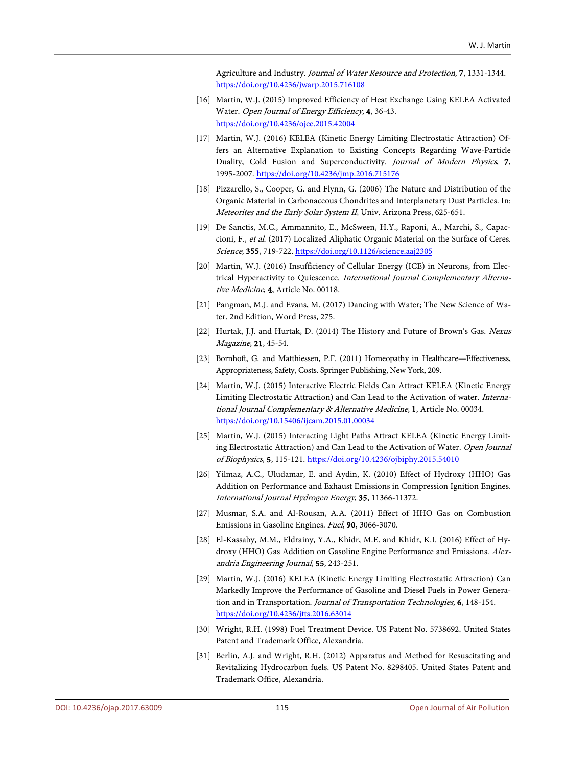Agriculture and Industry. Journal of Water Resource and Protection, 7, 1331-1344. <https://doi.org/10.4236/jwarp.2015.716108>

- <span id="page-12-0"></span>[16] Martin, W.J. (2015) Improved Efficiency of Heat Exchange Using KELEA Activated Water. Open Journal of Energy Efficiency, 4, 36-43. <https://doi.org/10.4236/ojee.2015.42004>
- <span id="page-12-1"></span>[17] Martin, W.J. (2016) KELEA (Kinetic Energy Limiting Electrostatic Attraction) Offers an Alternative Explanation to Existing Concepts Regarding Wave-Particle Duality, Cold Fusion and Superconductivity. Journal of Modern Physics, 7, 1995-2007. <https://doi.org/10.4236/jmp.2016.715176>
- <span id="page-12-2"></span>[18] Pizzarello, S., Cooper, G. and Flynn, G. (2006) The Nature and Distribution of the Organic Material in Carbonaceous Chondrites and Interplanetary Dust Particles. In: Meteorites and the Early Solar System II, Univ. Arizona Press, 625-651.
- <span id="page-12-3"></span>[19] De Sanctis, M.C., Ammannito, E., McSween, H.Y., Raponi, A., Marchi, S., Capaccioni, F., et al. (2017) Localized Aliphatic Organic Material on the Surface of Ceres. Science, 355, 719-722. <https://doi.org/10.1126/science.aaj2305>
- <span id="page-12-4"></span>[20] Martin, W.J. (2016) Insufficiency of Cellular Energy (ICE) in Neurons, from Electrical Hyperactivity to Quiescence. International Journal Complementary Alternative Medicine, 4, Article No. 00118.
- <span id="page-12-5"></span>[21] Pangman, M.J. and Evans, M. (2017) Dancing with Water; The New Science of Water. 2nd Edition, Word Press, 275.
- <span id="page-12-6"></span>[22] Hurtak, J.J. and Hurtak, D. (2014) The History and Future of Brown's Gas. Nexus Magazine, 21, 45-54.
- <span id="page-12-7"></span>[23] Bornhoft, G. and Matthiessen, P.F. (2011) Homeopathy in Healthcare—Effectiveness, Appropriateness, Safety, Costs. Springer Publishing, New York, 209.
- <span id="page-12-8"></span>[24] Martin, W.J. (2015) Interactive Electric Fields Can Attract KELEA (Kinetic Energy Limiting Electrostatic Attraction) and Can Lead to the Activation of water. International Journal Complementary & Alternative Medicine, 1, Article No. 00034. <https://doi.org/10.15406/ijcam.2015.01.00034>
- <span id="page-12-9"></span>[25] Martin, W.J. (2015) Interacting Light Paths Attract KELEA (Kinetic Energy Limiting Electrostatic Attraction) and Can Lead to the Activation of Water. Open Journal of Biophysics, 5, 115-121. <https://doi.org/10.4236/ojbiphy.2015.54010>
- <span id="page-12-10"></span>[26] Yilmaz, A.C., Uludamar, E. and Aydin, K. (2010) Effect of Hydroxy (HHO) Gas Addition on Performance and Exhaust Emissions in Compression Ignition Engines. International Journal Hydrogen Energy, 35, 11366-11372.
- <span id="page-12-11"></span>[27] Musmar, S.A. and Al-Rousan, A.A. (2011) Effect of HHO Gas on Combustion Emissions in Gasoline Engines. Fuel, 90, 3066-3070.
- <span id="page-12-12"></span>[28] El-Kassaby, M.M., Eldrainy, Y.A., Khidr, M.E. and Khidr, K.I. (2016) Effect of Hydroxy (HHO) Gas Addition on Gasoline Engine Performance and Emissions. Alexandria Engineering Journal, 55, 243-251.
- <span id="page-12-13"></span>[29] Martin, W.J. (2016) KELEA (Kinetic Energy Limiting Electrostatic Attraction) Can Markedly Improve the Performance of Gasoline and Diesel Fuels in Power Generation and in Transportation. Journal of Transportation Technologies, 6, 148-154. <https://doi.org/10.4236/jtts.2016.63014>
- <span id="page-12-14"></span>[30] Wright, R.H. (1998) Fuel Treatment Device. US Patent No. 5738692. United States Patent and Trademark Office, Alexandria.
- <span id="page-12-15"></span>[31] Berlin, A.J. and Wright, R.H. (2012) Apparatus and Method for Resuscitating and Revitalizing Hydrocarbon fuels. US Patent No. 8298405. United States Patent and Trademark Office, Alexandria.